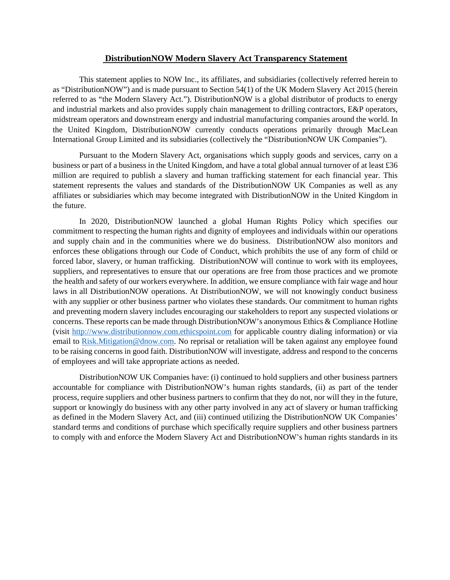## **DistributionNOW Modern Slavery Act Transparency Statement**

This statement applies to NOW Inc., its affiliates, and subsidiaries (collectively referred herein to as "DistributionNOW") and is made pursuant to Section 54(1) of the UK Modern Slavery Act 2015 (herein referred to as "the Modern Slavery Act."). DistributionNOW is a global distributor of products to energy and industrial markets and also provides supply chain management to drilling contractors, E&P operators, midstream operators and downstream energy and industrial manufacturing companies around the world. In the United Kingdom, DistributionNOW currently conducts operations primarily through MacLean International Group Limited and its subsidiaries (collectively the "DistributionNOW UK Companies").

Pursuant to the Modern Slavery Act, organisations which supply goods and services, carry on a business or part of a business in the United Kingdom, and have a total global annual turnover of at least £36 million are required to publish a slavery and human trafficking statement for each financial year. This statement represents the values and standards of the DistributionNOW UK Companies as well as any affiliates or subsidiaries which may become integrated with DistributionNOW in the United Kingdom in the future.

In 2020, DistributionNOW launched a global Human Rights Policy which specifies our commitment to respecting the human rights and dignity of employees and individuals within our operations and supply chain and in the communities where we do business. DistributionNOW also monitors and enforces these obligations through our Code of Conduct, which prohibits the use of any form of child or forced labor, slavery, or human trafficking. DistributionNOW will continue to work with its employees, suppliers, and representatives to ensure that our operations are free from those practices and we promote the health and safety of our workers everywhere. In addition, we ensure compliance with fair wage and hour laws in all DistributionNOW operations. At DistributionNOW, we will not knowingly conduct business with any supplier or other business partner who violates these standards. Our commitment to human rights and preventing modern slavery includes encouraging our stakeholders to report any suspected violations or concerns. These reports can be made through DistributionNOW's anonymous Ethics & Compliance Hotline (visit [http://www.distributionnow.com.ethicspoint.com](http://www.distributionnow.com.ethicspoint.com/) for applicable country dialing information) or via email to [Risk.Mitigation@dnow.com.](mailto:Risk.Mitigation@dnow.com) No reprisal or retaliation will be taken against any employee found to be raising concerns in good faith. DistributionNOW will investigate, address and respond to the concerns of employees and will take appropriate actions as needed.

DistributionNOW UK Companies have: (i) continued to hold suppliers and other business partners accountable for compliance with DistributionNOW's human rights standards, (ii) as part of the tender process, require suppliers and other business partners to confirm that they do not, nor will they in the future, support or knowingly do business with any other party involved in any act of slavery or human trafficking as defined in the Modern Slavery Act, and (iii) continued utilizing the DistributionNOW UK Companies' standard terms and conditions of purchase which specifically require suppliers and other business partners to comply with and enforce the Modern Slavery Act and DistributionNOW's human rights standards in its